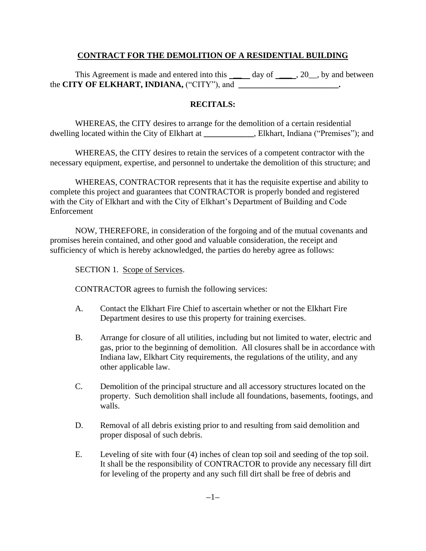# **CONTRACT FOR THE DEMOLITION OF A RESIDENTIAL BUILDING**

This Agreement is made and entered into this  $\_\_\_\_$  day of  $\_\_\_$ , 20, by and between the **CITY OF ELKHART, INDIANA**, ("CITY"), and

## **RECITALS:**

WHEREAS, the CITY desires to arrange for the demolition of a certain residential dwelling located within the City of Elkhart at **\_\_\_\_\_\_\_\_\_\_\_\_**, Elkhart, Indiana ("Premises"); and

WHEREAS, the CITY desires to retain the services of a competent contractor with the necessary equipment, expertise, and personnel to undertake the demolition of this structure; and

WHEREAS, CONTRACTOR represents that it has the requisite expertise and ability to complete this project and guarantees that CONTRACTOR is properly bonded and registered with the City of Elkhart and with the City of Elkhart's Department of Building and Code Enforcement

NOW, THEREFORE, in consideration of the forgoing and of the mutual covenants and promises herein contained, and other good and valuable consideration, the receipt and sufficiency of which is hereby acknowledged, the parties do hereby agree as follows:

SECTION 1. Scope of Services.

CONTRACTOR agrees to furnish the following services:

- A. Contact the Elkhart Fire Chief to ascertain whether or not the Elkhart Fire Department desires to use this property for training exercises.
- B. Arrange for closure of all utilities, including but not limited to water, electric and gas, prior to the beginning of demolition. All closures shall be in accordance with Indiana law, Elkhart City requirements, the regulations of the utility, and any other applicable law.
- C. Demolition of the principal structure and all accessory structures located on the property. Such demolition shall include all foundations, basements, footings, and walls.
- D. Removal of all debris existing prior to and resulting from said demolition and proper disposal of such debris.
- E. Leveling of site with four (4) inches of clean top soil and seeding of the top soil. It shall be the responsibility of CONTRACTOR to provide any necessary fill dirt for leveling of the property and any such fill dirt shall be free of debris and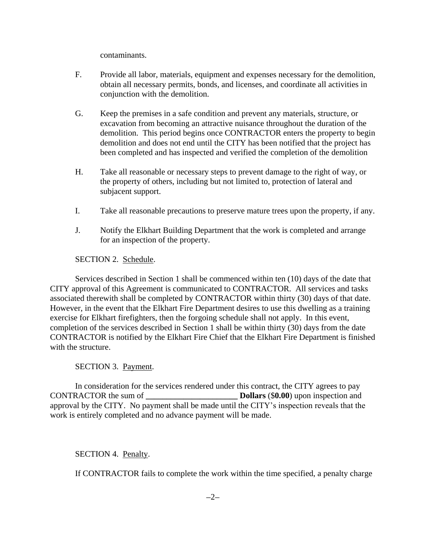contaminants.

- F. Provide all labor, materials, equipment and expenses necessary for the demolition, obtain all necessary permits, bonds, and licenses, and coordinate all activities in conjunction with the demolition.
- G. Keep the premises in a safe condition and prevent any materials, structure, or excavation from becoming an attractive nuisance throughout the duration of the demolition. This period begins once CONTRACTOR enters the property to begin demolition and does not end until the CITY has been notified that the project has been completed and has inspected and verified the completion of the demolition
- H. Take all reasonable or necessary steps to prevent damage to the right of way, or the property of others, including but not limited to, protection of lateral and subjacent support.
- I. Take all reasonable precautions to preserve mature trees upon the property, if any.
- J. Notify the Elkhart Building Department that the work is completed and arrange for an inspection of the property.

# SECTION 2. Schedule.

Services described in Section 1 shall be commenced within ten (10) days of the date that CITY approval of this Agreement is communicated to CONTRACTOR. All services and tasks associated therewith shall be completed by CONTRACTOR within thirty (30) days of that date. However, in the event that the Elkhart Fire Department desires to use this dwelling as a training exercise for Elkhart firefighters, then the forgoing schedule shall not apply. In this event, completion of the services described in Section 1 shall be within thirty (30) days from the date CONTRACTOR is notified by the Elkhart Fire Chief that the Elkhart Fire Department is finished with the structure.

## SECTION 3. Payment.

In consideration for the services rendered under this contract, the CITY agrees to pay CONTRACTOR the sum of **\_\_\_\_\_\_\_\_\_\_\_\_\_\_\_\_\_\_\_\_\_\_ Dollars** (\$**0.00**) upon inspection and approval by the CITY. No payment shall be made until the CITY's inspection reveals that the work is entirely completed and no advance payment will be made.

## SECTION 4. Penalty.

If CONTRACTOR fails to complete the work within the time specified, a penalty charge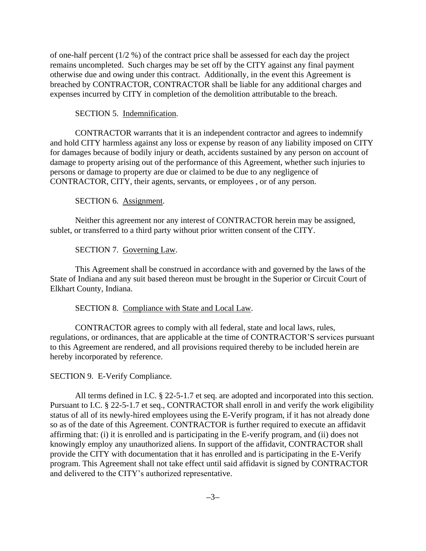of one-half percent (1/2 %) of the contract price shall be assessed for each day the project remains uncompleted. Such charges may be set off by the CITY against any final payment otherwise due and owing under this contract. Additionally, in the event this Agreement is breached by CONTRACTOR, CONTRACTOR shall be liable for any additional charges and expenses incurred by CITY in completion of the demolition attributable to the breach.

### SECTION 5. Indemnification.

CONTRACTOR warrants that it is an independent contractor and agrees to indemnify and hold CITY harmless against any loss or expense by reason of any liability imposed on CITY for damages because of bodily injury or death, accidents sustained by any person on account of damage to property arising out of the performance of this Agreement, whether such injuries to persons or damage to property are due or claimed to be due to any negligence of CONTRACTOR, CITY, their agents, servants, or employees , or of any person.

#### SECTION 6. Assignment.

Neither this agreement nor any interest of CONTRACTOR herein may be assigned, sublet, or transferred to a third party without prior written consent of the CITY.

#### SECTION 7. Governing Law.

This Agreement shall be construed in accordance with and governed by the laws of the State of Indiana and any suit based thereon must be brought in the Superior or Circuit Court of Elkhart County, Indiana.

#### SECTION 8. Compliance with State and Local Law.

CONTRACTOR agrees to comply with all federal, state and local laws, rules, regulations, or ordinances, that are applicable at the time of CONTRACTOR'S services pursuant to this Agreement are rendered, and all provisions required thereby to be included herein are hereby incorporated by reference.

### SECTION 9. E-Verify Compliance.

All terms defined in I.C. § 22-5-1.7 et seq. are adopted and incorporated into this section. Pursuant to I.C. § 22-5-1.7 et seq., CONTRACTOR shall enroll in and verify the work eligibility status of all of its newly-hired employees using the E-Verify program, if it has not already done so as of the date of this Agreement. CONTRACTOR is further required to execute an affidavit affirming that: (i) it is enrolled and is participating in the E-verify program, and (ii) does not knowingly employ any unauthorized aliens. In support of the affidavit, CONTRACTOR shall provide the CITY with documentation that it has enrolled and is participating in the E-Verify program. This Agreement shall not take effect until said affidavit is signed by CONTRACTOR and delivered to the CITY's authorized representative.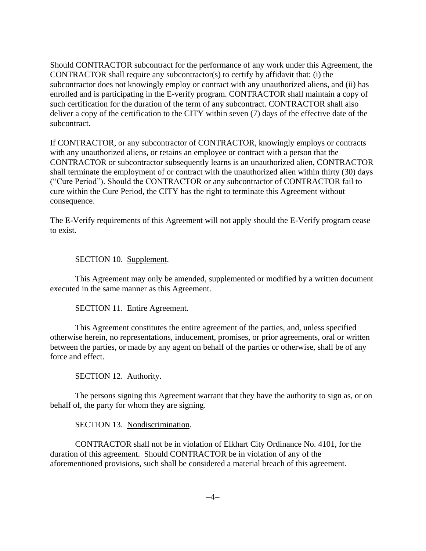Should CONTRACTOR subcontract for the performance of any work under this Agreement, the CONTRACTOR shall require any subcontractor(s) to certify by affidavit that: (i) the subcontractor does not knowingly employ or contract with any unauthorized aliens, and (ii) has enrolled and is participating in the E-verify program. CONTRACTOR shall maintain a copy of such certification for the duration of the term of any subcontract. CONTRACTOR shall also deliver a copy of the certification to the CITY within seven (7) days of the effective date of the subcontract.

If CONTRACTOR, or any subcontractor of CONTRACTOR, knowingly employs or contracts with any unauthorized aliens, or retains an employee or contract with a person that the CONTRACTOR or subcontractor subsequently learns is an unauthorized alien, CONTRACTOR shall terminate the employment of or contract with the unauthorized alien within thirty (30) days ("Cure Period"). Should the CONTRACTOR or any subcontractor of CONTRACTOR fail to cure within the Cure Period, the CITY has the right to terminate this Agreement without consequence.

The E-Verify requirements of this Agreement will not apply should the E-Verify program cease to exist.

## SECTION 10. Supplement.

This Agreement may only be amended, supplemented or modified by a written document executed in the same manner as this Agreement.

## SECTION 11. Entire Agreement.

This Agreement constitutes the entire agreement of the parties, and, unless specified otherwise herein, no representations, inducement, promises, or prior agreements, oral or written between the parties, or made by any agent on behalf of the parties or otherwise, shall be of any force and effect.

## SECTION 12. Authority.

The persons signing this Agreement warrant that they have the authority to sign as, or on behalf of, the party for whom they are signing.

## SECTION 13. Nondiscrimination.

CONTRACTOR shall not be in violation of Elkhart City Ordinance No. 4101, for the duration of this agreement. Should CONTRACTOR be in violation of any of the aforementioned provisions, such shall be considered a material breach of this agreement.